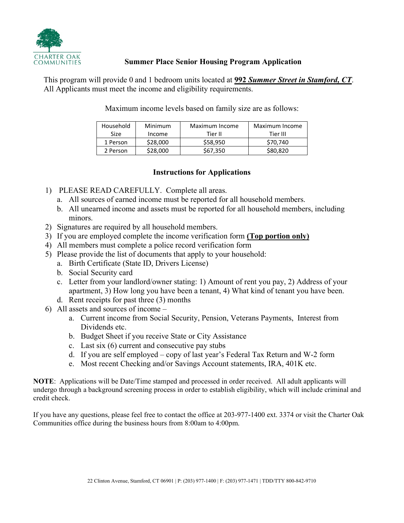

# **Summer Place Senior Housing Program Application**

This program will provide 0 and 1 bedroom units located at **992** *Summer Street in Stamford, CT*. All Applicants must meet the income and eligibility requirements.

Maximum income levels based on family size are as follows:

| Household | Minimum  | Maximum Income | Maximum Income |
|-----------|----------|----------------|----------------|
| Size      | Income   | Tier II        | Tier III       |
| 1 Person  | \$28,000 | \$58,950       | \$70.740       |
| 2 Person  | \$28,000 | \$67.350       | \$80,820       |

# **Instructions for Applications**

- 1) PLEASE READ CAREFULLY. Complete all areas.
	- a. All sources of earned income must be reported for all household members.
	- b. All unearned income and assets must be reported for all household members, including minors.
- 2) Signatures are required by all household members.
- 3) If you are employed complete the income verification form **(Top portion only)**
- 4) All members must complete a police record verification form
- 5) Please provide the list of documents that apply to your household:
	- a. Birth Certificate (State ID, Drivers License)
	- b. Social Security card
	- c. Letter from your landlord/owner stating: 1) Amount of rent you pay, 2) Address of your apartment, 3) How long you have been a tenant, 4) What kind of tenant you have been.
	- d. Rent receipts for past three (3) months
- 6) All assets and sources of income
	- a. Current income from Social Security, Pension, Veterans Payments, Interest from Dividends etc.
	- b. Budget Sheet if you receive State or City Assistance
	- c. Last six (6) current and consecutive pay stubs
	- d. If you are self employed copy of last year's Federal Tax Return and W-2 form
	- e. Most recent Checking and/or Savings Account statements, IRA, 401K etc.

**NOTE**: Applications will be Date/Time stamped and processed in order received. All adult applicants will undergo through a background screening process in order to establish eligibility, which will include criminal and credit check.

If you have any questions, please feel free to contact the office at 203-977-1400 ext. 3374 or visit the Charter Oak Communities office during the business hours from 8:00am to 4:00pm.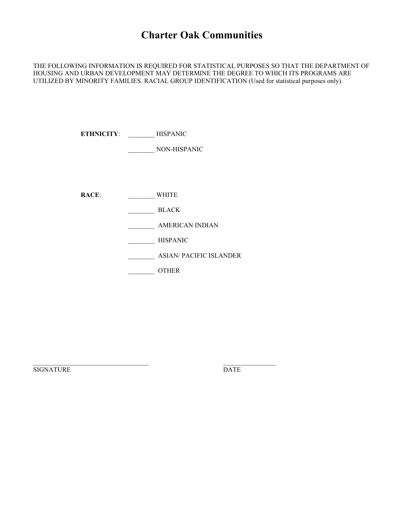# **Charter Oak Communities**

THE FOLLOWING INFORMATION IS REQUIRED FOR STATISTICAL PURPOSES SO THAT THE DEPARTMENT OF HOUSING AND URBAN DEVELOPMENT MAY DETERMINE THE DEGREE TO WHICH ITS PROGRAMS ARE UTILIZED BY MINORITY FAMILIES. RACIAL GROUP IDENTIFICATION (Used for statistical purposes only).

**ETHNICITY**: \_\_\_\_\_\_\_\_ HISPANIC

\_\_\_\_\_\_\_\_ NON-HISPANIC

RACE: WHITE

\_\_\_\_\_\_\_\_ BLACK

\_\_\_\_\_\_\_\_ AMERICAN INDIAN

\_\_\_\_\_\_\_\_ HISPANIC

\_\_\_\_\_\_\_\_ ASIAN/ PACIFIC ISLANDER

\_\_\_\_\_\_\_\_ OTHER

\_\_\_\_\_\_\_\_\_\_\_\_\_\_\_\_\_\_\_\_\_\_\_\_\_\_\_\_\_\_\_\_\_\_\_ \_\_\_\_\_\_\_\_\_\_\_\_\_\_\_\_

SIGNATURE DATE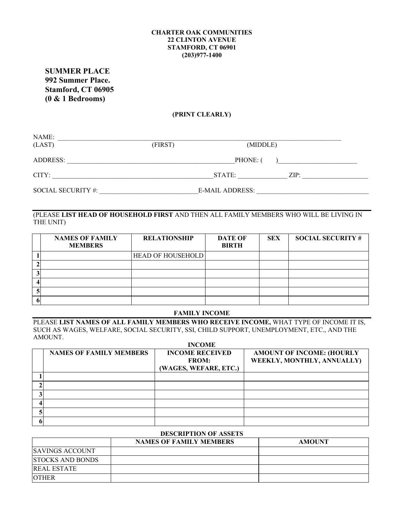#### **CHARTER OAK COMMUNITIES 22 CLINTON AVENUE STAMFORD, CT 06901 (203)977-1400**

**SUMMER PLACE 992 Summer Place. Stamford, CT 06905 (0 & 1 Bedrooms)**

## **(PRINT CLEARLY)**

| NAME:              |         |                        |      |
|--------------------|---------|------------------------|------|
| (LAST)             | (FIRST) | (MIDDLE)               |      |
|                    |         |                        |      |
| ADDRESS:           |         | PHONE: (               |      |
|                    |         |                        |      |
| CITY:              |         | STATE:                 | ZIP: |
|                    |         |                        |      |
| SOCIAL SECURITY #: |         | <b>E-MAIL ADDRESS:</b> |      |

# (PLEASE **LIST HEAD OF HOUSEHOLD FIRST** AND THEN ALL FAMILY MEMBERS WHO WILL BE LIVING IN THE UNIT)

| <b>NAMES OF FAMILY</b><br><b>MEMBERS</b> | <b>RELATIONSHIP</b>      | <b>DATE OF</b><br><b>BIRTH</b> | <b>SEX</b> | <b>SOCIAL SECURITY #</b> |
|------------------------------------------|--------------------------|--------------------------------|------------|--------------------------|
|                                          | <b>HEAD OF HOUSEHOLD</b> |                                |            |                          |
|                                          |                          |                                |            |                          |
|                                          |                          |                                |            |                          |
|                                          |                          |                                |            |                          |
|                                          |                          |                                |            |                          |
|                                          |                          |                                |            |                          |

#### **FAMILY INCOME**

PLEASE **LIST NAMES OF ALL FAMILY MEMBERS WHO RECEIVE INCOME,** WHAT TYPE OF INCOME IT IS, SUCH AS WAGES, WELFARE, SOCIAL SECURITY, SSI, CHILD SUPPORT, UNEMPLOYMENT, ETC., AND THE AMOUNT. **INCOME**

| <b>INCOME</b>                  |                        |                                  |  |  |  |
|--------------------------------|------------------------|----------------------------------|--|--|--|
| <b>NAMES OF FAMILY MEMBERS</b> | <b>INCOME RECEIVED</b> | <b>AMOUNT OF INCOME: (HOURLY</b> |  |  |  |
|                                | <b>FROM:</b>           | WEEKLY, MONTHLY, ANNUALLY)       |  |  |  |
|                                | (WAGES, WEFARE, ETC.)  |                                  |  |  |  |
|                                |                        |                                  |  |  |  |
|                                |                        |                                  |  |  |  |
|                                |                        |                                  |  |  |  |
|                                |                        |                                  |  |  |  |
|                                |                        |                                  |  |  |  |
|                                |                        |                                  |  |  |  |
|                                |                        |                                  |  |  |  |

## **DESCRIPTION OF ASSETS**

|                         | <b>NAMES OF FAMILY MEMBERS</b> | <b>AMOUNT</b> |
|-------------------------|--------------------------------|---------------|
| <b>SAVINGS ACCOUNT</b>  |                                |               |
| <b>STOCKS AND BONDS</b> |                                |               |
| <b>REAL ESTATE</b>      |                                |               |
| <b>OTHER</b>            |                                |               |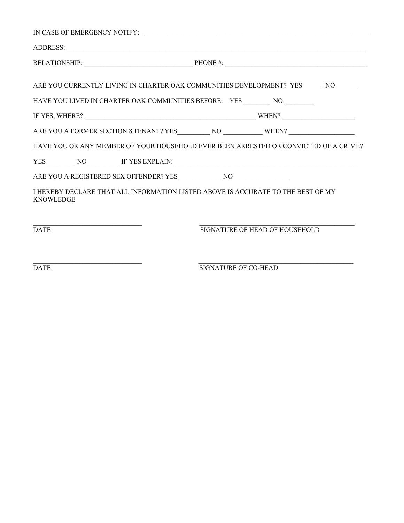| IN CASE OF EMERGENCY NOTIFY: $\overline{\phantom{a}}$                                                |                                |  |
|------------------------------------------------------------------------------------------------------|--------------------------------|--|
|                                                                                                      |                                |  |
| RELATIONSHIP: PHONE #:                                                                               |                                |  |
| ARE YOU CURRENTLY LIVING IN CHARTER OAK COMMUNITIES DEVELOPMENT? YES NO                              |                                |  |
| HAVE YOU LIVED IN CHARTER OAK COMMUNITIES BEFORE: YES __________ NO __________                       |                                |  |
|                                                                                                      |                                |  |
|                                                                                                      |                                |  |
| HAVE YOU OR ANY MEMBER OF YOUR HOUSEHOLD EVER BEEN ARRESTED OR CONVICTED OF A CRIME?                 |                                |  |
|                                                                                                      |                                |  |
|                                                                                                      |                                |  |
| I HEREBY DECLARE THAT ALL INFORMATION LISTED ABOVE IS ACCURATE TO THE BEST OF MY<br><b>KNOWLEDGE</b> |                                |  |
|                                                                                                      |                                |  |
| <b>DATE</b>                                                                                          | SIGNATURE OF HEAD OF HOUSEHOLD |  |
|                                                                                                      |                                |  |

 $\mathcal{L}_\mathcal{L} = \{ \mathcal{L}_\mathcal{L} = \{ \mathcal{L}_\mathcal{L} = \{ \mathcal{L}_\mathcal{L} = \{ \mathcal{L}_\mathcal{L} = \{ \mathcal{L}_\mathcal{L} = \{ \mathcal{L}_\mathcal{L} = \{ \mathcal{L}_\mathcal{L} = \{ \mathcal{L}_\mathcal{L} = \{ \mathcal{L}_\mathcal{L} = \{ \mathcal{L}_\mathcal{L} = \{ \mathcal{L}_\mathcal{L} = \{ \mathcal{L}_\mathcal{L} = \{ \mathcal{L}_\mathcal{L} = \{ \mathcal{L}_\mathcal{$ DATE SIGNATURE OF CO-HEAD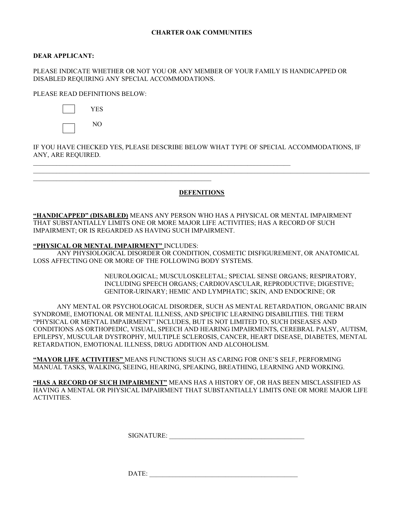#### **DEAR APPLICANT:**

PLEASE INDICATE WHETHER OR NOT YOU OR ANY MEMBER OF YOUR FAMILY IS HANDICAPPED OR DISABLED REQUIRING ANY SPECIAL ACCOMMODATIONS.

PLEASE READ DEFINITIONS BELOW:

|--|--|



IF YOU HAVE CHECKED YES, PLEASE DESCRIBE BELOW WHAT TYPE OF SPECIAL ACCOMMODATIONS, IF ANY, ARE REQUIRED.

\_\_\_\_\_\_\_\_\_\_\_\_\_\_\_\_\_\_\_\_\_\_\_\_\_\_\_\_\_\_\_\_\_\_\_\_\_\_\_\_\_\_\_\_\_\_\_\_\_\_\_\_\_\_\_\_\_\_\_\_\_\_\_\_\_\_\_\_\_\_\_\_\_\_\_\_\_\_

### **DEFENITIONS**

\_\_\_\_\_\_\_\_\_\_\_\_\_\_\_\_\_\_\_\_\_\_\_\_\_\_\_\_\_\_\_\_\_\_\_\_\_\_\_\_\_\_\_\_\_\_\_\_\_\_\_\_\_\_\_\_\_\_\_\_\_\_\_\_\_\_\_\_\_\_\_\_\_\_\_\_\_\_\_\_\_\_\_\_\_\_\_\_\_\_\_\_\_\_\_\_\_\_\_\_\_\_

**"HANDICAPPED" (DISABLED)** MEANS ANY PERSON WHO HAS A PHYSICAL OR MENTAL IMPAIRMENT THAT SUBSTANTIALLY LIMITS ONE OR MORE MAJOR LIFE ACTIVITIES; HAS A RECORD OF SUCH IMPAIRMENT; OR IS REGARDED AS HAVING SUCH IMPAIRMENT.

#### **"PHYSICAL OR MENTAL IMPAIRMENT"** INCLUDES:

\_\_\_\_\_\_\_\_\_\_\_\_\_\_\_\_\_\_\_\_\_\_\_\_\_\_\_\_\_\_\_\_\_\_\_\_\_\_\_\_\_\_\_\_\_\_\_\_\_\_\_\_\_\_

ANY PHYSIOLOGICAL DISORDER OR CONDITION, COSMETIC DISFIGUREMENT, OR ANATOMICAL LOSS AFFECTING ONE OR MORE OF THE FOLLOWING BODY SYSTEMS.

> NEUROLOGICAL; MUSCULOSKELETAL; SPECIAL SENSE ORGANS; RESPIRATORY, INCLUDING SPEECH ORGANS; CARDIOVASCULAR, REPRODUCTIVE; DIGESTIVE; GENITOR-URINARY; HEMIC AND LYMPHATIC; SKIN, AND ENDOCRINE; OR

ANY MENTAL OR PSYCHOLOGICAL DISORDER, SUCH AS MENTAL RETARDATION, ORGANIC BRAIN SYNDROME, EMOTIONAL OR MENTAL ILLNESS, AND SPECIFIC LEARNING DISABILITIES. THE TERM "PHYSICAL OR MENTAL IMPAIRMENT" INCLUDES, BUT IS NOT LIMITED TO, SUCH DISEASES AND CONDITIONS AS ORTHOPEDIC, VISUAL, SPEECH AND HEARING IMPAIRMENTS, CEREBRAL PALSY, AUTISM, EPILEPSY, MUSCULAR DYSTROPHY, MULTIPLE SCLEROSIS, CANCER, HEART DISEASE, DIABETES, MENTAL RETARDATION, EMOTIONAL ILLNESS, DRUG ADDITION AND ALCOHOLISM.

**"MAYOR LIFE ACTIVITIES"** MEANS FUNCTIONS SUCH AS CARING FOR ONE'S SELF, PERFORMING MANUAL TASKS, WALKING, SEEING, HEARING, SPEAKING, BREATHING, LEARNING AND WORKING.

**"HAS A RECORD OF SUCH IMPAIRMENT"** MEANS HAS A HISTORY OF, OR HAS BEEN MISCLASSIFIED AS HAVING A MENTAL OR PHYSICAL IMPAIRMENT THAT SUBSTANTIALLY LIMITS ONE OR MORE MAJOR LIFE **ACTIVITIES** 

SIGNATURE:

DATE: \_\_\_\_\_\_\_\_\_\_\_\_\_\_\_\_\_\_\_\_\_\_\_\_\_\_\_\_\_\_\_\_\_\_\_\_\_\_\_\_\_\_\_\_\_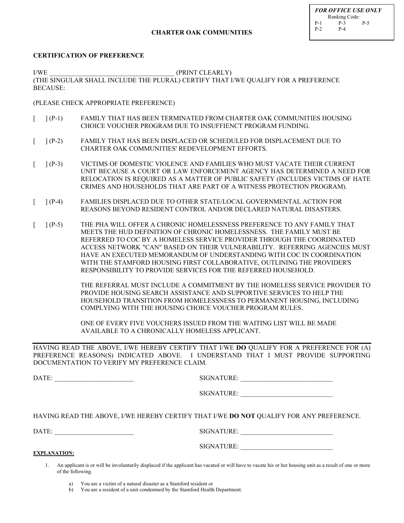#### **CHARTER OAK COMMUNITIES**

#### **CERTIFICATION OF PREFERENCE**

I/WE (PRINT CLEARLY) (THE SINGULAR SHALL INCLUDE THE PLURAL) CERTIFY THAT I/WE QUALIFY FOR A PREFERENCE BECAUSE:

#### (PLEASE CHECK APPROPRIATE PREFERENCE)

- [ ] (P-1) FAMILY THAT HAS BEEN TERMINATED FROM CHARTER OAK COMMUNITIES HOUSING CHOICE VOUCHER PROGRAM DUE TO INSUFFIENCT PROGRAM FUNDING.
- [ ] (P-2) FAMILY THAT HAS BEEN DISPLACED OR SCHEDULED FOR DISPLACEMENT DUE TO CHARTER OAK COMMUNITIES' REDEVELOPMENT EFFORTS.
- [ ] (P-3) VICTIMS OF DOMESTIC VIOLENCE AND FAMILIES WHO MUST VACATE THEIR CURRENT UNIT BECAUSE A COURT OR LAW ENFORCEMENT AGENCY HAS DETERMINED A NEED FOR RELOCATION IS REQUIRED AS A MATTER OF PUBLIC SAFETY (INCLUDES VICTIMS OF HATE CRIMES AND HOUSEHOLDS THAT ARE PART OF A WITNESS PROTECTION PROGRAM).
- [ ] (P-4) FAMILIES DISPLACED DUE TO OTHER STATE/LOCAL GOVERNMENTAL ACTION FOR REASONS BEYOND RESIDENT CONTROL AND/OR DECLARED NATURAL DISASTERS.
- [ ] (P-5) THE PHA WILL OFFER A CHRONIC HOMELESSNESS PREFERENCE TO ANY FAMILY THAT MEETS THE HUD DEFINITION OF CHRONIC HOMELESSNESS. THE FAMILY MUST BE REFERRED TO COC BY A HOMELESS SERVICE PROVIDER THROUGH THE COORDINATED ACCESS NETWORK "CAN" BASED ON THEIR VULNERABILITY. REFERRING AGENCIES MUST HAVE AN EXECUTED MEMORANDUM OF UNDERSTANDING WITH COC IN COORDINATION WITH THE STAMFORD HOUSING FIRST COLLABORATIVE, OUTLINING THE PROVIDER'S RESPONSIBILITY TO PROVIDE SERVICES FOR THE REFERRED HOUSEHOLD.

THE REFERRAL MUST INCLUDE A COMMITMENT BY THE HOMELESS SERVICE PROVIDER TO PROVIDE HOUSING SEARCH ASSISTANCE AND SUPPORTIVE SERVICES TO HELP THE HOUSEHOLD TRANSITION FROM HOMELESSNESS TO PERMANENT HOUSING, INCLUDING COMPLYING WITH THE HOUSING CHOICE VOUCHER PROGRAM RULES.

ONE OF EVERY FIVE VOUCHERS ISSUED FROM THE WAITING LIST WILL BE MADE AVAILABLE TO A CHRONICALLY HOMELESS APPLICANT.

HAVING READ THE ABOVE, I/WE HEREBY CERTIFY THAT I/WE **DO** QUALIFY FOR A PREFERENCE FOR (A) PREFERENCE REASON(S) INDICATED ABOVE. I UNDERSTAND THAT I MUST PROVIDE SUPPORTING DOCUMENTATION TO VERIFY MY PREFERENCE CLAIM.

DATE: \_\_\_\_\_\_\_\_\_\_\_\_\_\_\_\_\_\_\_\_\_\_\_\_ SIGNATURE: \_\_\_\_\_\_\_\_\_\_\_\_\_\_\_\_\_\_\_\_\_\_\_\_\_\_\_\_

SIGNATURE:

HAVING READ THE ABOVE, I/WE HEREBY CERTIFY THAT I/WE **DO NOT** QUALIFY FOR ANY PREFERENCE.

DATE: SIGNATURE:

| SIGNATURE: |  |
|------------|--|
|            |  |

**EXPLANATION:**

SIGNATURE:

1. An applicant is or will be involuntarily displaced if the applicant has vacated or will have to vacate his or her housing unit as a result of one or more of the following.

b) You are a resident of a unit condemned by the Stamford Health Department.

a) You are a victim of a natural disaster as a Stamford resident or